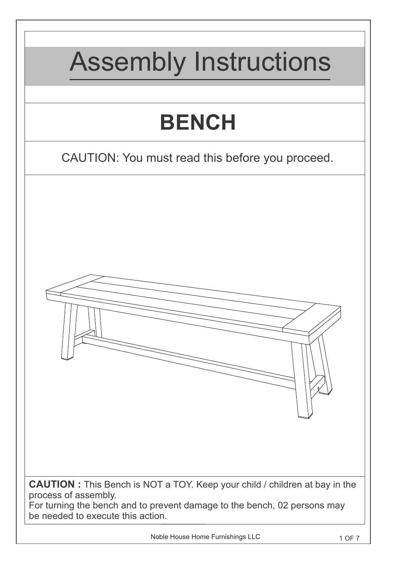

Noble House Home Furnishings LLC 1 OF 7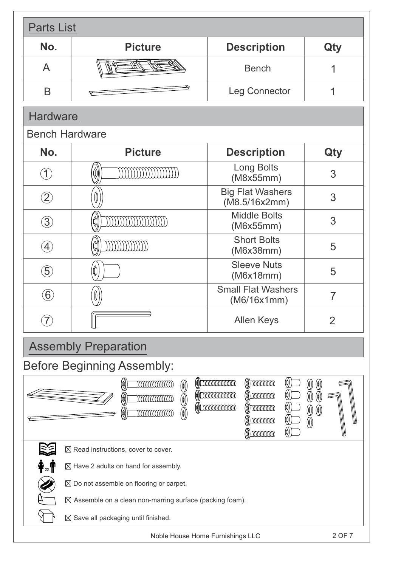| <b>Parts List</b>                 |                                                                                                                                                 |                                                                                                                                                                                                                                                                         |                                                                    |
|-----------------------------------|-------------------------------------------------------------------------------------------------------------------------------------------------|-------------------------------------------------------------------------------------------------------------------------------------------------------------------------------------------------------------------------------------------------------------------------|--------------------------------------------------------------------|
| No.                               | <b>Picture</b>                                                                                                                                  | <b>Description</b>                                                                                                                                                                                                                                                      | Qty                                                                |
| A                                 |                                                                                                                                                 | <b>Bench</b>                                                                                                                                                                                                                                                            |                                                                    |
| B                                 |                                                                                                                                                 | <b>Leg Connector</b>                                                                                                                                                                                                                                                    | 1                                                                  |
| <b>Hardware</b>                   |                                                                                                                                                 |                                                                                                                                                                                                                                                                         |                                                                    |
| <b>Bench Hardware</b>             |                                                                                                                                                 |                                                                                                                                                                                                                                                                         |                                                                    |
| No.                               | <b>Picture</b>                                                                                                                                  | <b>Description</b>                                                                                                                                                                                                                                                      | Qty                                                                |
| $\left( 1\right)$                 | (0)                                                                                                                                             | <b>Long Bolts</b><br>(M8x55mm)                                                                                                                                                                                                                                          | 3                                                                  |
| $\left( 2\right)$                 | 10                                                                                                                                              | <b>Big Flat Washers</b><br>(M8.5/16x2mm)                                                                                                                                                                                                                                | 3                                                                  |
| $\bigcirc$                        | Φ                                                                                                                                               | <b>Middle Bolts</b><br>(M6x55mm)                                                                                                                                                                                                                                        | 3                                                                  |
| $\left( 4\right)$                 |                                                                                                                                                 | <b>Short Bolts</b><br>(M6x38mm)                                                                                                                                                                                                                                         | 5                                                                  |
| $\ddot{5}$                        | 0                                                                                                                                               | <b>Sleeve Nuts</b><br>(M6x18mm)                                                                                                                                                                                                                                         | 5                                                                  |
| $\left( 6\right)$                 |                                                                                                                                                 | <b>Small Flat Washers</b><br>(M6/16x1mm)                                                                                                                                                                                                                                | 7                                                                  |
|                                   |                                                                                                                                                 | <b>Allen Keys</b>                                                                                                                                                                                                                                                       | 2                                                                  |
| <b>Assembly Preparation</b>       |                                                                                                                                                 |                                                                                                                                                                                                                                                                         |                                                                    |
| <b>Before Beginning Assembly:</b> |                                                                                                                                                 |                                                                                                                                                                                                                                                                         |                                                                    |
|                                   | (¢)<br>mmmmmm<br>$(\emptyset)$<br>$\textcircled{\scriptsize{0}}$<br>(0)<br>mmmmmm<br>$\textcircled{\scriptsize{0}}\textcircled{\scriptsize{1}}$ | $\textcircled{})$ munimum<br>$\textcircled{a}$<br>$\left(\!\!\left(\!\!\begin{array}{c} 0 \end{array}\!\!\right)\right)$<br>$\textcircled{})$ munimum<br>$\textcircled{a})$ minimum<br>$\textcircled{a}$<br>$\textcircled{a}$<br>$\textcircled{a}$<br>$\textcircled{d}$ | (0)<br>(0)<br>(0)<br>$(\emptyset)$<br>$\circled{0}$<br>$\circledS$ |
|                                   | $\boxtimes$ Read instructions, cover to cover.                                                                                                  |                                                                                                                                                                                                                                                                         |                                                                    |
|                                   | $\boxtimes$ Have 2 adults on hand for assembly.                                                                                                 |                                                                                                                                                                                                                                                                         |                                                                    |
|                                   | $\boxtimes$ Do not assemble on flooring or carpet.                                                                                              |                                                                                                                                                                                                                                                                         |                                                                    |
|                                   | $\boxtimes$ Assemble on a clean non-marring surface (packing foam).                                                                             |                                                                                                                                                                                                                                                                         |                                                                    |
|                                   | $\boxtimes$ Save all packaging until finished.                                                                                                  |                                                                                                                                                                                                                                                                         |                                                                    |
| Noble House Home Furnishings LLC  |                                                                                                                                                 |                                                                                                                                                                                                                                                                         | 2 OF 7                                                             |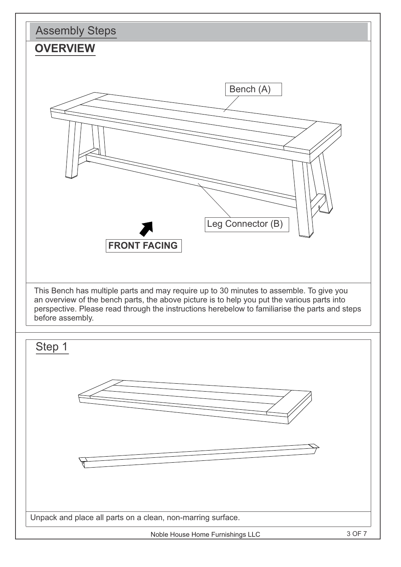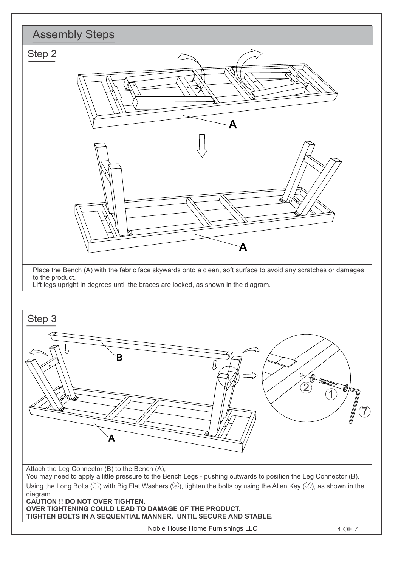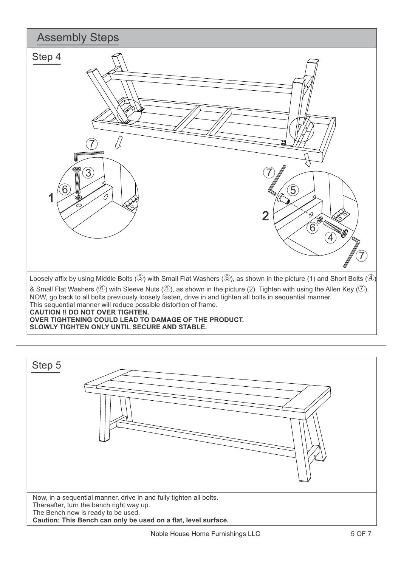

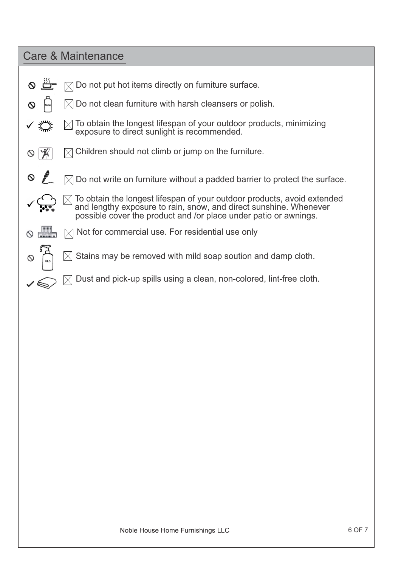## Care & Maintenance

 $\checkmark$ 

 $\infty$ 

- $\boxtimes$  Do not put hot items directly on furniture surface.  $\Omega$
- $\boxtimes$  Do not clean furniture with harsh cleansers or polish.  $\infty$
- ✓ š  $\boxtimes$  To obtain the longest lifespan of your outdoor products, minimizing exposure to direct sunlight is recommended.
- $\boxtimes$  Children should not climb or jump on the furniture.  $\circ$
- $\infty$  $\boxtimes$  Do not write on furniture without a padded barrier to protect the surface.
	- $\boxtimes$  To obtain the longest lifespan of your outdoor products, avoid extended and lengthy exposure to rain, snow, and direct sunshine. Whenever possible cover the product and /or place under patio or awnings.
	- <u>All</u>  $\boxtimes$  Not for commercial use. For residential use only
		- Stains may be removed with mild soap soution and damp cloth.
		- Dust and pick-up spills using a clean, non-colored, lint-free cloth.  $\bowtie$